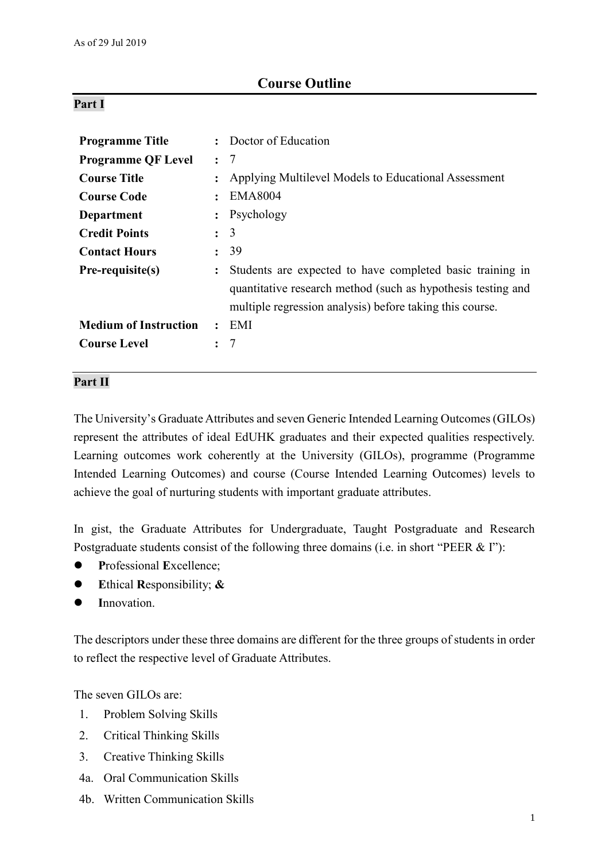# **Course Outline**

## **Part I**

| <b>Programme Title</b>       |                      | Doctor of Education                                                                                                                                                                   |
|------------------------------|----------------------|---------------------------------------------------------------------------------------------------------------------------------------------------------------------------------------|
| <b>Programme QF Level</b>    | $\ddot{\cdot}$       | -7                                                                                                                                                                                    |
| <b>Course Title</b>          |                      | Applying Multilevel Models to Educational Assessment                                                                                                                                  |
| <b>Course Code</b>           |                      | <b>EMA8004</b>                                                                                                                                                                        |
| Department                   |                      | Psychology                                                                                                                                                                            |
| <b>Credit Points</b>         | $\ddot{\phantom{0}}$ | 3                                                                                                                                                                                     |
| <b>Contact Hours</b>         |                      | -39                                                                                                                                                                                   |
| Pre-requisite(s)             | $\ddot{\cdot}$       | Students are expected to have completed basic training in<br>quantitative research method (such as hypothesis testing and<br>multiple regression analysis) before taking this course. |
| <b>Medium of Instruction</b> | $\ddot{\cdot}$       | EMI                                                                                                                                                                                   |
| <b>Course Level</b>          |                      | -7                                                                                                                                                                                    |

# **Part II**

The University's Graduate Attributes and seven Generic Intended Learning Outcomes (GILOs) represent the attributes of ideal EdUHK graduates and their expected qualities respectively. Learning outcomes work coherently at the University (GILOs), programme (Programme Intended Learning Outcomes) and course (Course Intended Learning Outcomes) levels to achieve the goal of nurturing students with important graduate attributes.

In gist, the Graduate Attributes for Undergraduate, Taught Postgraduate and Research Postgraduate students consist of the following three domains (i.e. in short "PEER & I"):

- **P**rofessional **E**xcellence;
- **E**thical **R**esponsibility; **&**
- **I**nnovation.

The descriptors under these three domains are different for the three groups of students in order to reflect the respective level of Graduate Attributes.

The seven GILOs are:

- 1. Problem Solving Skills
- 2. Critical Thinking Skills
- 3. Creative Thinking Skills
- 4a. Oral Communication Skills
- 4b. Written Communication Skills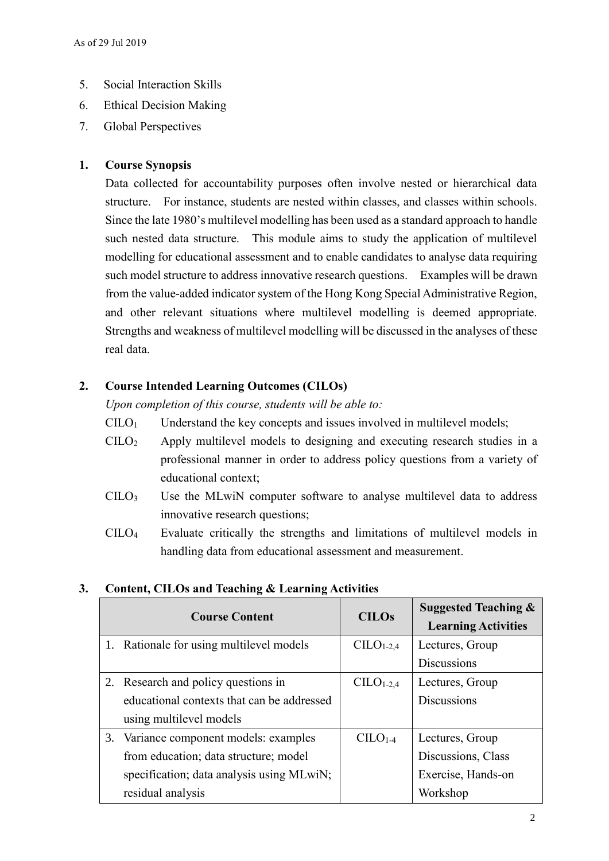- 5. Social Interaction Skills
- 6. Ethical Decision Making
- 7. Global Perspectives

# **1. Course Synopsis**

Data collected for accountability purposes often involve nested or hierarchical data structure. For instance, students are nested within classes, and classes within schools. Since the late 1980's multilevel modelling has been used as a standard approach to handle such nested data structure. This module aims to study the application of multilevel modelling for educational assessment and to enable candidates to analyse data requiring such model structure to address innovative research questions. Examples will be drawn from the value-added indicator system of the Hong Kong Special Administrative Region, and other relevant situations where multilevel modelling is deemed appropriate. Strengths and weakness of multilevel modelling will be discussed in the analyses of these real data.

# **2. Course Intended Learning Outcomes (CILOs)**

*Upon completion of this course, students will be able to:*

- $CILO<sub>1</sub>$  Understand the key concepts and issues involved in multilevel models;
- CILO<sup>2</sup> Apply multilevel models to designing and executing research studies in a professional manner in order to address policy questions from a variety of educational context;
- $C I L O<sub>3</sub>$  Use the MLwiN computer software to analyse multilevel data to address innovative research questions;
- CILO<sup>4</sup> Evaluate critically the strengths and limitations of multilevel models in handling data from educational assessment and measurement.

| <b>Course Content</b> |                                            | <b>CILOs</b> | <b>Suggested Teaching &amp;</b> |  |
|-----------------------|--------------------------------------------|--------------|---------------------------------|--|
|                       |                                            |              | <b>Learning Activities</b>      |  |
|                       | 1. Rationale for using multilevel models   | $C1-2,4$     | Lectures, Group                 |  |
|                       |                                            |              | <b>Discussions</b>              |  |
|                       | 2. Research and policy questions in        | $CIIO1-2,4$  | Lectures, Group                 |  |
|                       | educational contexts that can be addressed |              | <b>Discussions</b>              |  |
|                       | using multilevel models                    |              |                                 |  |
|                       | 3. Variance component models: examples     | $C1-4$       | Lectures, Group                 |  |
|                       | from education; data structure; model      |              | Discussions, Class              |  |
|                       | specification; data analysis using MLwiN;  |              | Exercise, Hands-on              |  |
|                       | residual analysis                          |              | Workshop                        |  |

## **3. Content, CILOs and Teaching & Learning Activities**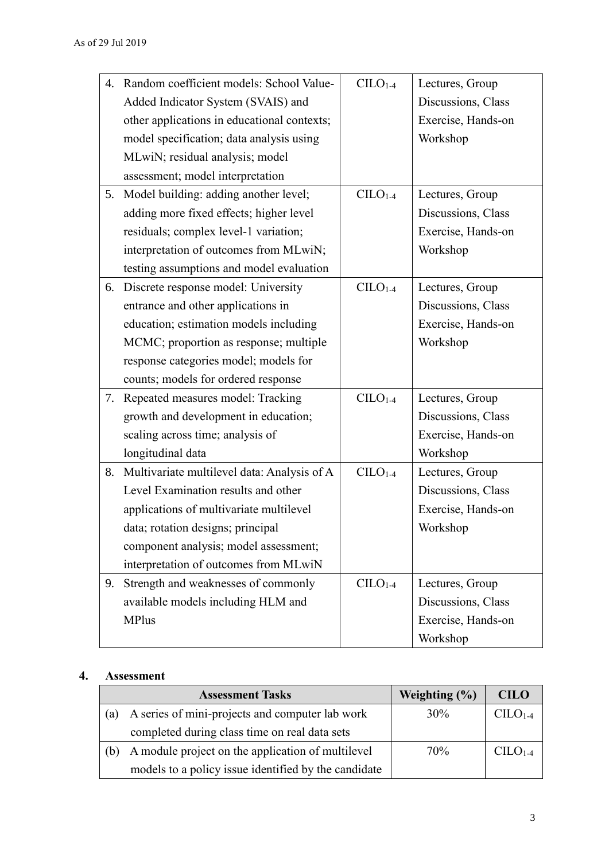| 4. | Random coefficient models: School Value-       | $CILO1-4$ | Lectures, Group    |
|----|------------------------------------------------|-----------|--------------------|
|    | Added Indicator System (SVAIS) and             |           | Discussions, Class |
|    | other applications in educational contexts;    |           | Exercise, Hands-on |
|    | model specification; data analysis using       |           | Workshop           |
|    | MLwiN; residual analysis; model                |           |                    |
|    | assessment; model interpretation               |           |                    |
|    | 5. Model building: adding another level;       | $C1-4$    | Lectures, Group    |
|    | adding more fixed effects; higher level        |           | Discussions, Class |
|    | residuals; complex level-1 variation;          |           | Exercise, Hands-on |
|    | interpretation of outcomes from MLwiN;         |           | Workshop           |
|    | testing assumptions and model evaluation       |           |                    |
| 6. | Discrete response model: University            | $CLLO1-4$ | Lectures, Group    |
|    | entrance and other applications in             |           | Discussions, Class |
|    | education; estimation models including         |           | Exercise, Hands-on |
|    | MCMC; proportion as response; multiple         |           | Workshop           |
|    | response categories model; models for          |           |                    |
|    | counts; models for ordered response            |           |                    |
| 7. | Repeated measures model: Tracking              | $C1-4$    | Lectures, Group    |
|    | growth and development in education;           |           | Discussions, Class |
|    | scaling across time; analysis of               |           | Exercise, Hands-on |
|    | longitudinal data                              |           | Workshop           |
|    | 8. Multivariate multilevel data: Analysis of A | $C1-4$    | Lectures, Group    |
|    | Level Examination results and other            |           | Discussions, Class |
|    | applications of multivariate multilevel        |           | Exercise, Hands-on |
|    | data; rotation designs; principal              |           | Workshop           |
|    | component analysis; model assessment;          |           |                    |
|    | interpretation of outcomes from MLwiN          |           |                    |
| 9. | Strength and weaknesses of commonly            | $C1-4$    | Lectures, Group    |
|    | available models including HLM and             |           | Discussions, Class |
|    | <b>MPlus</b>                                   |           | Exercise, Hands-on |
|    |                                                |           | Workshop           |

## **4. Assessment**

|     | <b>Assessment Tasks</b>                              | Weighting $(\% )$ | <b>CILO</b> |
|-----|------------------------------------------------------|-------------------|-------------|
| 'a) | A series of mini-projects and computer lab work      | $30\%$            | $C1-4$      |
|     | completed during class time on real data sets        |                   |             |
| b)  | A module project on the application of multilevel    | 70%               | $C1-4$      |
|     | models to a policy issue identified by the candidate |                   |             |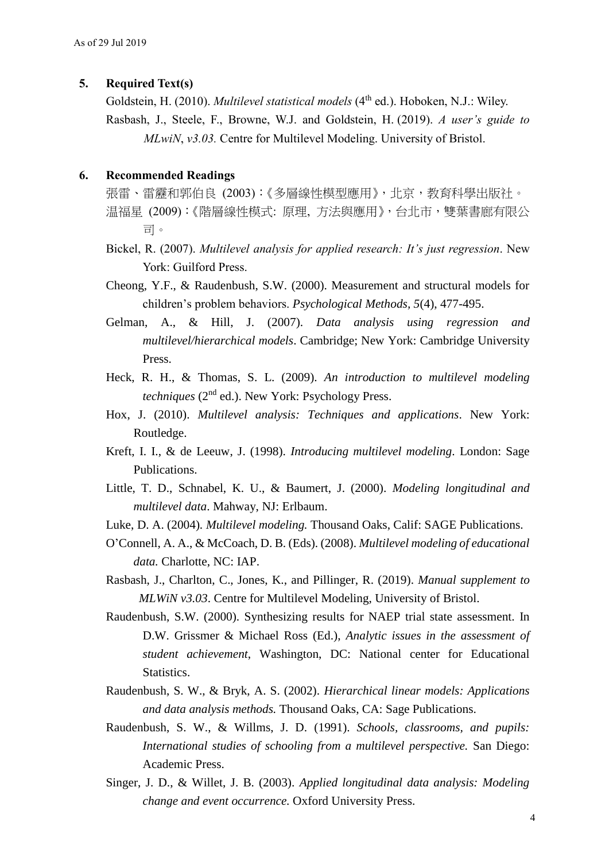### **5. Required Text(s)**

Goldstein, H. (2010). *Multilevel statistical models* (4<sup>th</sup> ed.). Hoboken, N.J.: Wiley. Rasbash, J., Steele, F., Browne, W.J. and Goldstein, H. (2019). *A user's guide to MLwiN*, *v3.03.* Centre for Multilevel Modeling. University of Bristol.

#### **6. Recommended Readings**

- 張雷、雷靂和郭伯良 (2003):《多層線性模型應用》,北京,教育科學出版社。 温福星 (2009):《階層線性模式: 原理, 方法與應用》,台北市,雙葉書廊有限公 司。
- Bickel, R. (2007). *Multilevel analysis for applied research: It's just regression*. New York: Guilford Press.
- Cheong, Y.F., & Raudenbush, S.W. (2000). Measurement and structural models for children's problem behaviors. *Psychological Methods, 5*(4), 477-495.
- Gelman, A., & Hill, J. (2007). *Data analysis using regression and multilevel/hierarchical models*. Cambridge; New York: Cambridge University Press.
- Heck, R. H., & Thomas, S. L. (2009). *An introduction to multilevel modeling techniques* (2nd ed.). New York: Psychology Press.
- Hox, J. (2010). *Multilevel analysis: Techniques and applications*. New York: Routledge.
- Kreft, I. I., & de Leeuw, J. (1998). *Introducing multilevel modeling*. London: Sage Publications.
- Little, T. D., Schnabel, K. U., & Baumert, J. (2000). *Modeling longitudinal and multilevel data*. Mahway, NJ: Erlbaum.
- Luke, D. A. (2004)*. Multilevel modeling.* Thousand Oaks, Calif: SAGE Publications.
- O'Connell, A. A., & McCoach, D. B. (Eds). (2008). *Multilevel modeling of educational data.* Charlotte, NC: IAP.
- Rasbash, J., Charlton, C., Jones, K., and Pillinger, R. (2019). *Manual supplement to MLWiN v3.03*. Centre for Multilevel Modeling, University of Bristol.
- Raudenbush, S.W. (2000). Synthesizing results for NAEP trial state assessment. In D.W. Grissmer & Michael Ross (Ed.), *Analytic issues in the assessment of student achievement*, Washington, DC: National center for Educational Statistics.
- Raudenbush, S. W., & Bryk, A. S. (2002). *Hierarchical linear models: Applications and data analysis methods.* Thousand Oaks, CA: Sage Publications.
- Raudenbush, S. W., & Willms, J. D. (1991). *Schools, classrooms, and pupils: International studies of schooling from a multilevel perspective.* San Diego: Academic Press.
- Singer, J. D., & Willet, J. B. (2003). *Applied longitudinal data analysis: Modeling change and event occurrence.* Oxford University Press.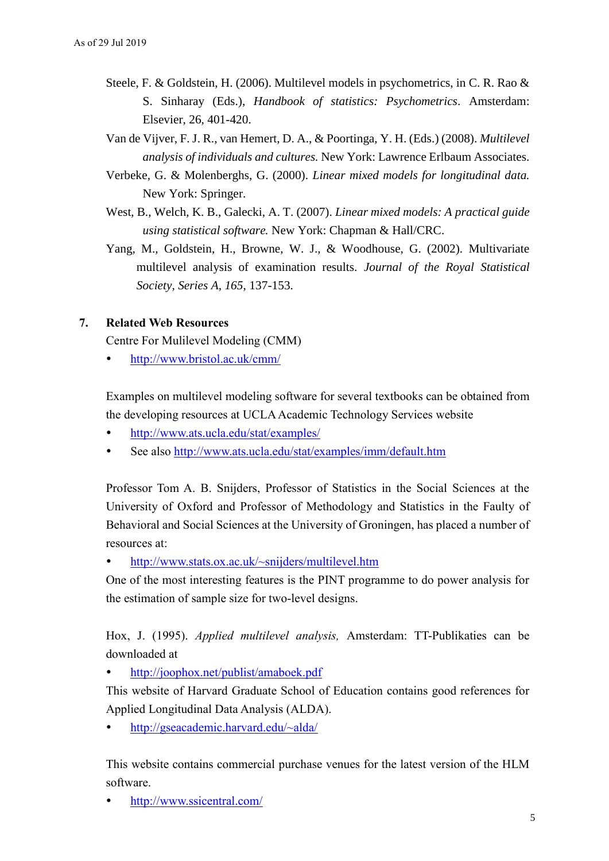- Steele, F. & Goldstein, H. (2006). Multilevel models in psychometrics, in C. R. Rao & S. Sinharay (Eds.), *Handbook of statistics: Psychometrics*. Amsterdam: Elsevier, 26, 401-420.
- Van de Vijver, F. J. R., van Hemert, D. A., & Poortinga, Y. H. (Eds.) (2008). *Multilevel analysis of individuals and cultures.* New York: Lawrence Erlbaum Associates.
- Verbeke, G. & Molenberghs, G. (2000). *Linear mixed models for longitudinal data.* New York: Springer.
- West, B., Welch, K. B., Galecki, A. T. (2007). *Linear mixed models: A practical guide using statistical software.* New York: Chapman & Hall/CRC.
- Yang, M., Goldstein, H., Browne, W. J., & Woodhouse, G. (2002). Multivariate multilevel analysis of examination results. *Journal of the Royal Statistical Society, Series A, 165*, 137-153.

## **7. Related Web Resources**

Centre For Mulilevel Modeling (CMM)

<http://www.bristol.ac.uk/cmm/>

Examples on multilevel modeling software for several textbooks can be obtained from the developing resources at UCLA Academic Technology Services website

- <http://www.ats.ucla.edu/stat/examples/>
- See also<http://www.ats.ucla.edu/stat/examples/imm/default.htm>

Professor Tom A. B. Snijders, Professor of Statistics in the Social Sciences at the University of Oxford and Professor of Methodology and Statistics in the Faulty of Behavioral and Social Sciences at the University of Groningen, has placed a number of resources at:

• <http://www.stats.ox.ac.uk/~snijders/multilevel.htm>

One of the most interesting features is the PINT programme to do power analysis for the estimation of sample size for two-level designs.

Hox, J. (1995). *Applied multilevel analysis,* Amsterdam: TT-Publikaties can be downloaded at

<http://joophox.net/publist/amaboek.pdf>

This website of Harvard Graduate School of Education contains good references for Applied Longitudinal Data Analysis (ALDA).

<http://gseacademic.harvard.edu/~alda/>

This website contains commercial purchase venues for the latest version of the HLM software.

<http://www.ssicentral.com/>